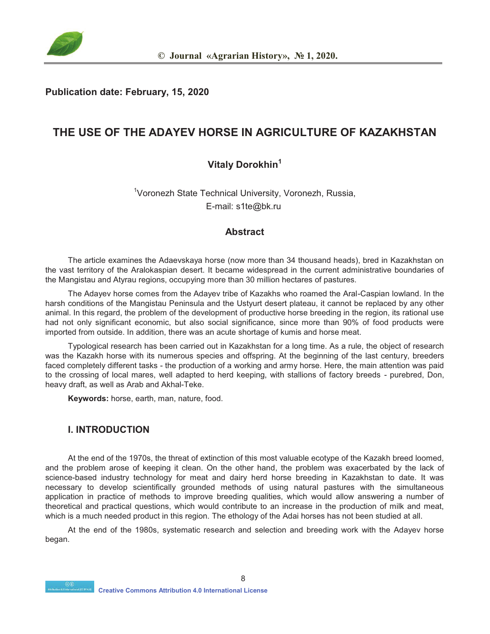

#### **Publication date: February, 15, 2020**

# **THE USE OF THE ADAYEV HORSE IN AGRICULTURE OF KAZAKHSTAN**

## **Vitaly Dorokhin<sup>1</sup>**

1 Voronezh State Technical University, Voronezh, Russia, E-mail: s1te@bk.ru

#### **Abstract**

The article examines the Adaevskaya horse (now more than 34 thousand heads), bred in Kazakhstan on the vast territory of the Aralokaspian desert. It became widespread in the current administrative boundaries of the Mangistau and Atyrau regions, occupying more than 30 million hectares of pastures.

The Adayev horse comes from the Adayev tribe of Kazakhs who roamed the Aral-Caspian lowland. In the harsh conditions of the Mangistau Peninsula and the Ustyurt desert plateau, it cannot be replaced by any other animal. In this regard, the problem of the development of productive horse breeding in the region, its rational use had not only significant economic, but also social significance, since more than 90% of food products were imported from outside. In addition, there was an acute shortage of kumis and horse meat.

Typological research has been carried out in Kazakhstan for a long time. As a rule, the object of research was the Kazakh horse with its numerous species and offspring. At the beginning of the last century, breeders faced completely different tasks - the production of a working and army horse. Here, the main attention was paid to the crossing of local mares, well adapted to herd keeping, with stallions of factory breeds - purebred, Don, heavy draft, as well as Arab and Akhal-Teke.

**Keywords:** horse, earth, man, nature, food.

#### **I. INTRODUCTION**

At the end of the 1970s, the threat of extinction of this most valuable ecotype of the Kazakh breed loomed, and the problem arose of keeping it clean. On the other hand, the problem was exacerbated by the lack of science-based industry technology for meat and dairy herd horse breeding in Kazakhstan to date. It was necessary to develop scientifically grounded methods of using natural pastures with the simultaneous application in practice of methods to improve breeding qualities, which would allow answering a number of theoretical and practical questions, which would contribute to an increase in the production of milk and meat, which is a much needed product in this region. The ethology of the Adai horses has not been studied at all.

At the end of the 1980s, systematic research and selection and breeding work with the Adayev horse began.

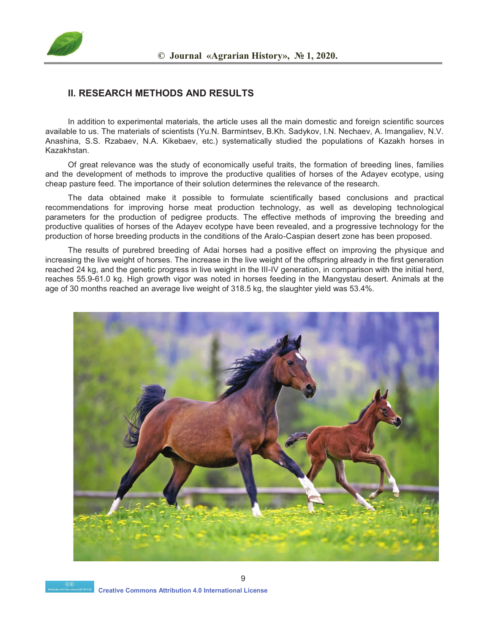

### **II. RESEARCH METHODS AND RESULTS**

In addition to experimental materials, the article uses all the main domestic and foreign scientific sources available to us. The materials of scientists (Yu.N. Barmintsev, B.Kh. Sadykov, I.N. Nechaev, A. Imangaliev, N.V. Anashina, S.S. Rzabaev, N.A. Kikebaev, etc.) systematically studied the populations of Kazakh horses in Kazakhstan.

Of great relevance was the study of economically useful traits, the formation of breeding lines, families and the development of methods to improve the productive qualities of horses of the Adayev ecotype, using cheap pasture feed. The importance of their solution determines the relevance of the research.

The data obtained make it possible to formulate scientifically based conclusions and practical recommendations for improving horse meat production technology, as well as developing technological parameters for the production of pedigree products. The effective methods of improving the breeding and productive qualities of horses of the Adayev ecotype have been revealed, and a progressive technology for the production of horse breeding products in the conditions of the Aralo-Caspian desert zone has been proposed.

The results of purebred breeding of Adai horses had a positive effect on improving the physique and increasing the live weight of horses. The increase in the live weight of the offspring already in the first generation reached 24 kg, and the genetic progress in live weight in the III-IV generation, in comparison with the initial herd, reaches 55.9-61.0 kg. High growth vigor was noted in horses feeding in the Mangystau desert. Animals at the age of 30 months reached an average live weight of 318.5 kg, the slaughter yield was 53.4%.

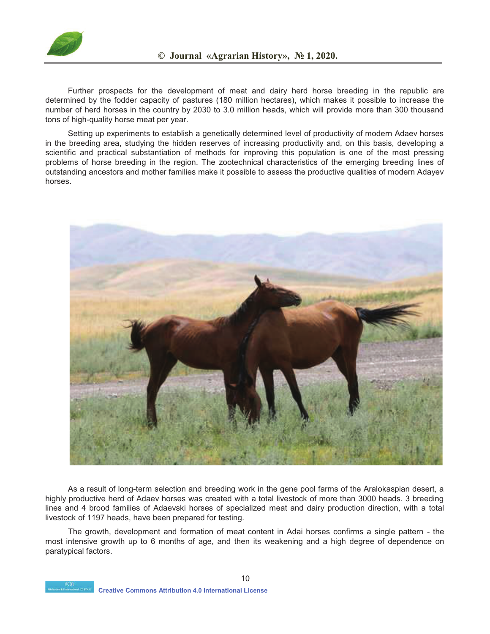

Further prospects for the development of meat and dairy herd horse breeding in the republic are determined by the fodder capacity of pastures (180 million hectares), which makes it possible to increase the number of herd horses in the country by 2030 to 3.0 million heads, which will provide more than 300 thousand tons of high-quality horse meat per year.

Setting up experiments to establish a genetically determined level of productivity of modern Adaev horses in the breeding area, studying the hidden reserves of increasing productivity and, on this basis, developing a scientific and practical substantiation of methods for improving this population is one of the most pressing problems of horse breeding in the region. The zootechnical characteristics of the emerging breeding lines of outstanding ancestors and mother families make it possible to assess the productive qualities of modern Adayev horses.



As a result of long-term selection and breeding work in the gene pool farms of the Aralokaspian desert, a highly productive herd of Adaev horses was created with a total livestock of more than 3000 heads. 3 breeding lines and 4 brood families of Adaevski horses of specialized meat and dairy production direction, with a total livestock of 1197 heads, have been prepared for testing.

The growth, development and formation of meat content in Adai horses confirms a single pattern - the most intensive growth up to 6 months of age, and then its weakening and a high degree of dependence on paratypical factors.

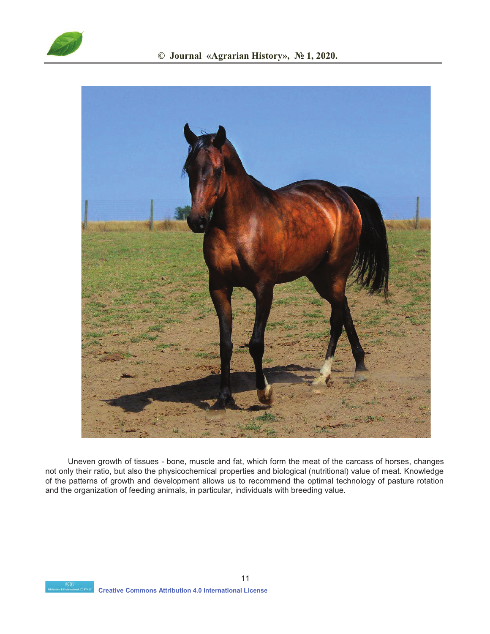



Uneven growth of tissues - bone, muscle and fat, which form the meat of the carcass of horses, changes not only their ratio, but also the physicochemical properties and biological (nutritional) value of meat. Knowledge of the patterns of growth and development allows us to recommend the optimal technology of pasture rotation and the organization of feeding animals, in particular, individuals with breeding value.

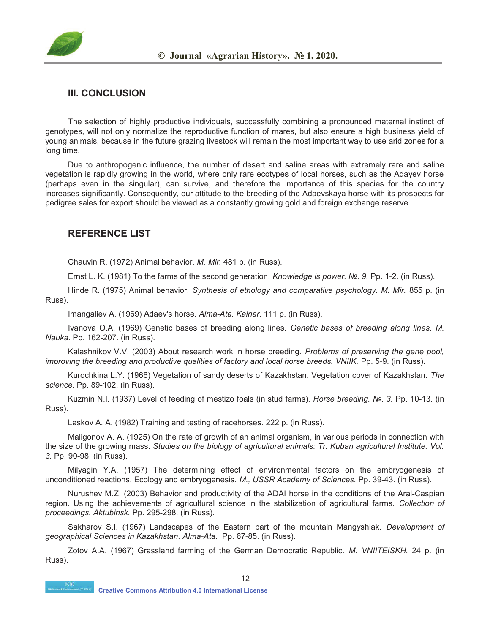

## **III. CONCLUSION**

The selection of highly productive individuals, successfully combining a pronounced maternal instinct of genotypes, will not only normalize the reproductive function of mares, but also ensure a high business yield of young animals, because in the future grazing livestock will remain the most important way to use arid zones for a long time.

Due to anthropogenic influence, the number of desert and saline areas with extremely rare and saline vegetation is rapidly growing in the world, where only rare ecotypes of local horses, such as the Adayev horse (perhaps even in the singular), can survive, and therefore the importance of this species for the country increases significantly. Consequently, our attitude to the breeding of the Adaevskaya horse with its prospects for pedigree sales for export should be viewed as a constantly growing gold and foreign exchange reserve.

## **REFERENCE LIST**

Chauvin R. (1972) Animal behavior. *M. Mir.* 481 p. (in Russ).

Ernst L. K. (1981) To the farms of the second generation. *Knowledge is power. №. 9.* Pp. 1-2. (in Russ).

Hinde R. (1975) Animal behavior. *Synthesis of ethology and comparative psychology. M. Mir.* 855 p. (in Russ).

Imangaliev A. (1969) Adaev's horse. *Alma-Ata. Kainar.* 111 p. (in Russ).

Ivanova O.A. (1969) Genetic bases of breeding along lines. *Genetic bases of breeding along lines. M. Nauka.* Pp. 162-207. (in Russ).

Kalashnikov V.V. (2003) About research work in horse breeding. *Problems of preserving the gene pool, improving the breeding and productive qualities of factory and local horse breeds. VNIIK.* Pp. 5-9. (in Russ).

Kurochkina L.Y. (1966) Vegetation of sandy deserts of Kazakhstan. Vegetation cover of Kazakhstan. *The science.* Pp. 89-102. (in Russ).

Kuzmin N.I. (1937) Level of feeding of mestizo foals (in stud farms). *Horse breeding. №. 3.* Pp. 10-13. (in Russ).

Laskov A. A. (1982) Training and testing of racehorses. 222 p. (in Russ).

Maligonov A. A. (1925) On the rate of growth of an animal organism, in various periods in connection with the size of the growing mass. *Studies on the biology of agricultural animals: Tr. Kuban agricultural Institute. Vol. 3.* Pp. 90-98. (in Russ).

Milyagin Y.A. (1957) The determining effect of environmental factors on the embryogenesis of unconditioned reactions. Ecology and embryogenesis. *M., USSR Academy of Sciences.* Pp. 39-43. (in Russ).

Nurushev M.Z. (2003) Behavior and productivity of the ADAI horse in the conditions of the Aral-Caspian region. Using the achievements of agricultural science in the stabilization of agricultural farms. *Collection of proceedings. Aktubinsk.* Pp. 295-298. (in Russ).

Sakharov S.I. (1967) Landscapes of the Eastern part of the mountain Mangyshlak. *Development of geographical Sciences in Kazakhstan. Alma-Ata.* Pp. 67-85. (in Russ).

Zotov A.A. (1967) Grassland farming of the German Democratic Republic. *M. VNIITEISKH.* 24 p. (in Russ).